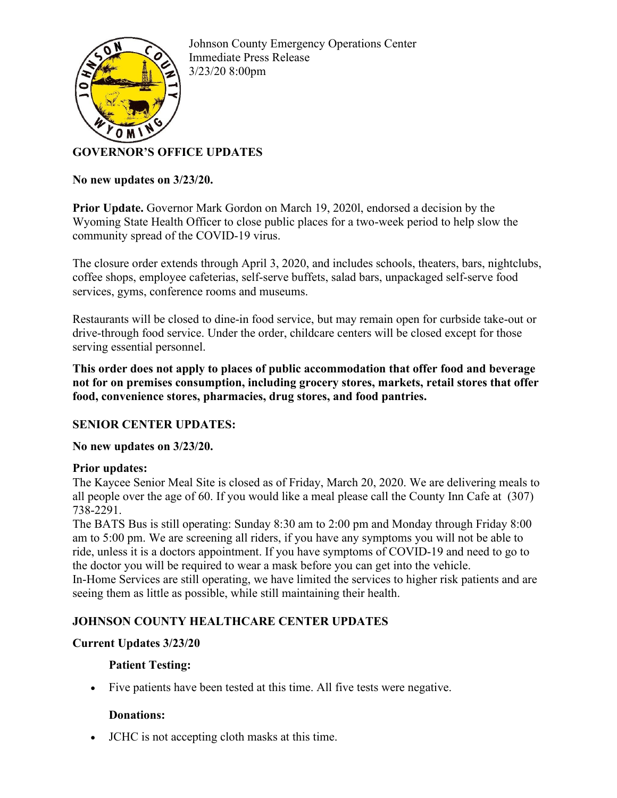

Johnson County Emergency Operations Center Immediate Press Release 3/23/20 8:00pm

# **GOVERNOR'S OFFICE UPDATES**

#### **No new updates on 3/23/20.**

**Prior Update.** Governor Mark Gordon on March 19, 2020l, endorsed a decision by the Wyoming State Health Officer to close public places for a two-week period to help slow the community spread of the COVID-19 virus.

The closure order extends through April 3, 2020, and includes schools, theaters, bars, nightclubs, coffee shops, employee cafeterias, self-serve buffets, salad bars, unpackaged self-serve food services, gyms, conference rooms and museums.

Restaurants will be closed to dine-in food service, but may remain open for curbside take-out or drive-through food service. Under the order, childcare centers will be closed except for those serving essential personnel.

**This order does not apply to places of public accommodation that offer food and beverage not for on premises consumption, including grocery stores, markets, retail stores that offer food, convenience stores, pharmacies, drug stores, and food pantries.** 

## **SENIOR CENTER UPDATES:**

## **No new updates on 3/23/20.**

## **Prior updates:**

The Kaycee Senior Meal Site is closed as of Friday, March 20, 2020. We are delivering meals to all people over the age of 60. If you would like a meal please call the County Inn Cafe at (307) 738-2291.

The BATS Bus is still operating: Sunday 8:30 am to 2:00 pm and Monday through Friday 8:00 am to 5:00 pm. We are screening all riders, if you have any symptoms you will not be able to ride, unless it is a doctors appointment. If you have symptoms of COVID-19 and need to go to the doctor you will be required to wear a mask before you can get into the vehicle. In-Home Services are still operating, we have limited the services to higher risk patients and are seeing them as little as possible, while still maintaining their health.

## **JOHNSON COUNTY HEALTHCARE CENTER UPDATES**

## **Current Updates 3/23/20**

## **Patient Testing:**

• Five patients have been tested at this time. All five tests were negative.

## **Donations:**

• JCHC is not accepting cloth masks at this time.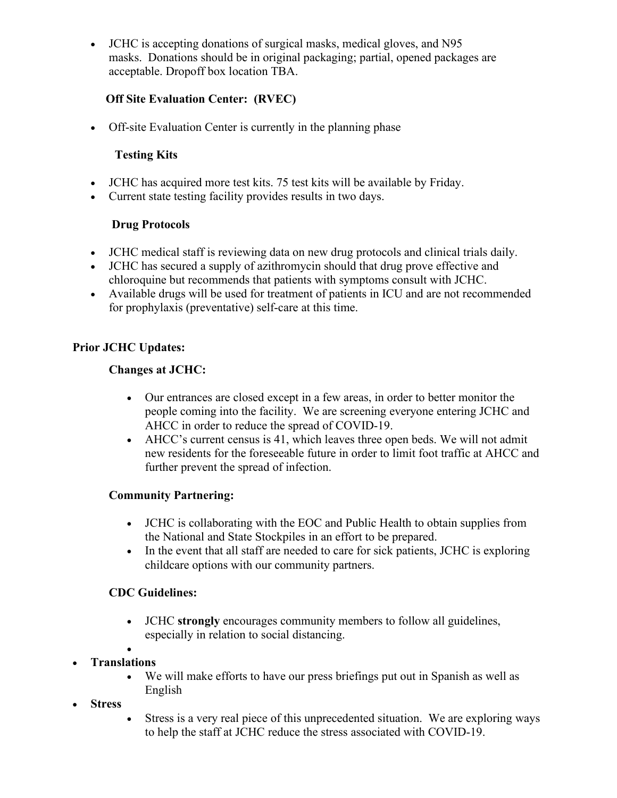• JCHC is accepting donations of surgical masks, medical gloves, and N95 masks. Donations should be in original packaging; partial, opened packages are acceptable. Dropoff box location TBA.

# **Off Site Evaluation Center: (RVEC)**

• Off-site Evaluation Center is currently in the planning phase

# **Testing Kits**

- JCHC has acquired more test kits. 75 test kits will be available by Friday.
- Current state testing facility provides results in two days.

#### **Drug Protocols**

- JCHC medical staff is reviewing data on new drug protocols and clinical trials daily.
- JCHC has secured a supply of azithromycin should that drug prove effective and chloroquine but recommends that patients with symptoms consult with JCHC.
- Available drugs will be used for treatment of patients in ICU and are not recommended for prophylaxis (preventative) self-care at this time.

#### **Prior JCHC Updates:**

#### **Changes at JCHC:**

- Our entrances are closed except in a few areas, in order to better monitor the people coming into the facility. We are screening everyone entering JCHC and AHCC in order to reduce the spread of COVID-19.
- AHCC's current census is 41, which leaves three open beds. We will not admit new residents for the foreseeable future in order to limit foot traffic at AHCC and further prevent the spread of infection.

## **Community Partnering:**

- JCHC is collaborating with the EOC and Public Health to obtain supplies from the National and State Stockpiles in an effort to be prepared.
- In the event that all staff are needed to care for sick patients, JCHC is exploring childcare options with our community partners.

## **CDC Guidelines:**

- JCHC **strongly** encourages community members to follow all guidelines, especially in relation to social distancing.
- • **Translations**
	- We will make efforts to have our press briefings put out in Spanish as well as English
- **Stress**
- Stress is a very real piece of this unprecedented situation. We are exploring ways to help the staff at JCHC reduce the stress associated with COVID-19.